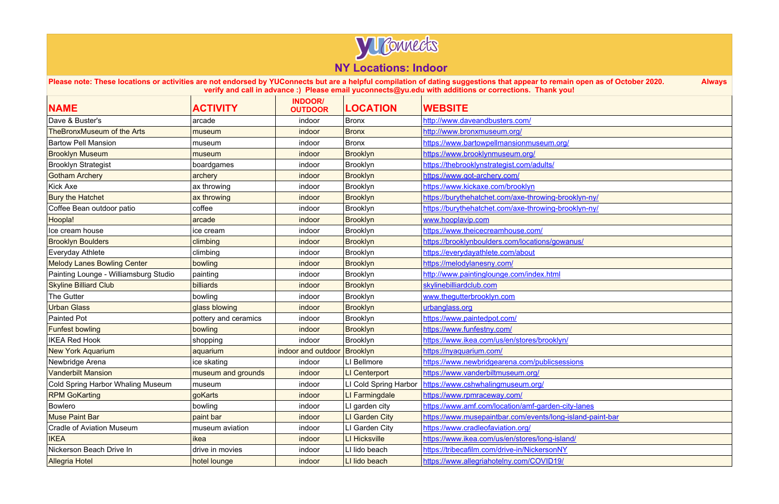

| <b>NAME</b>                           | <b>ACTIVITY</b>      | <b>INDOOR/</b><br><b>OUTDOOR</b> | <b>LOCATION</b> | <b>WEBSITE</b>                                            |
|---------------------------------------|----------------------|----------------------------------|-----------------|-----------------------------------------------------------|
| Dave & Buster's                       | arcade               | indoor                           | <b>Bronx</b>    | http://www.daveandbusters.com/                            |
| <b>TheBronxMuseum of the Arts</b>     | museum               | indoor                           | <b>Bronx</b>    | http://www.bronxmuseum.org/                               |
| <b>Bartow Pell Mansion</b>            | museum               | indoor                           | <b>Bronx</b>    | https://www.bartowpellmansionmuseum.org/                  |
| <b>Brooklyn Museum</b>                | museum               | indoor                           | <b>Brooklyn</b> | https://www.brooklynmuseum.org/                           |
| <b>Brooklyn Strategist</b>            | boardgames           | indoor                           | Brooklyn        | https://thebrooklynstrategist.com/adults/                 |
| <b>Gotham Archery</b>                 | archery              | indoor                           | <b>Brooklyn</b> | https://www.got-archery.com/                              |
| <b>Kick Axe</b>                       | ax throwing          | indoor                           | Brooklyn        | https://www.kickaxe.com/brooklyn                          |
| <b>Bury the Hatchet</b>               | ax throwing          | indoor                           | <b>Brooklyn</b> | https://burythehatchet.com/axe-throwing-brooklyn-ny/      |
| Coffee Bean outdoor patio             | coffee               | indoor                           | Brooklyn        | https://burythehatchet.com/axe-throwing-brooklyn-ny/      |
| Hoopla!                               | arcade               | indoor                           | <b>Brooklyn</b> | www.hooplavip.com                                         |
| Ice cream house                       | ice cream            | indoor                           | Brooklyn        | https://www.theicecreamhouse.com/                         |
| <b>Brooklyn Boulders</b>              | climbing             | indoor                           | <b>Brooklyn</b> | https://brooklynboulders.com/locations/gowanus/           |
| <b>Everyday Athlete</b>               | climbing             | indoor                           | Brooklyn        | https://everydayathlete.com/about                         |
| <b>Melody Lanes Bowling Center</b>    | bowling              | indoor                           | <b>Brooklyn</b> | https://melodylanesny.com/                                |
| Painting Lounge - Williamsburg Studio | painting             | indoor                           | Brooklyn        | http://www.paintinglounge.com/index.html                  |
| <b>Skyline Billiard Club</b>          | billiards            | indoor                           | <b>Brooklyn</b> | skylinebilliardclub.com                                   |
| The Gutter                            | bowling              | indoor                           | Brooklyn        | www.thegutterbrooklyn.com                                 |
| <b>Urban Glass</b>                    | glass blowing        | indoor                           | <b>Brooklyn</b> | urbanglass.org                                            |
| <b>Painted Pot</b>                    | pottery and ceramics | indoor                           | <b>Brooklyn</b> | https://www.paintedpot.com/                               |
| <b>Funfest bowling</b>                | bowling              | indoor                           | <b>Brooklyn</b> | https://www.funfestny.com/                                |
| <b>IKEA Red Hook</b>                  | shopping             | indoor                           | Brooklyn        | https://www.ikea.com/us/en/stores/brooklyn/               |
| <b>New York Aquarium</b>              | aquarium             | indoor and outdoor               | Brooklyn        | https://nyaquarium.com/                                   |
| Newbridge Arena                       | ice skating          | indoor                           | LI Bellmore     | https://www.newbridgearena.com/publicsessions             |
| <b>Vanderbilt Mansion</b>             | museum and grounds   | indoor                           | LI Centerport   | https://www.vanderbiltmuseum.org/                         |
| Cold Spring Harbor Whaling Museum     | museum               | indoor                           |                 | LI Cold Spring Harbor   https://www.cshwhalingmuseum.org/ |
| <b>RPM GoKarting</b>                  | goKarts              | indoor                           | LI Farmingdale  | https://www.rpmraceway.com/                               |
| Bowlero                               | bowling              | indoor                           | LI garden city  | https://www.amf.com/location/amf-garden-city-lanes        |
| <b>Muse Paint Bar</b>                 | paint bar            | indoor                           | LI Garden City  | https://www.musepaintbar.com/events/long-island-paint-bar |
| <b>Cradle of Aviation Museum</b>      | museum aviation      | indoor                           | LI Garden City  | https://www.cradleofaviation.org/                         |
| <b>IKEA</b>                           | ikea                 | indoor                           | LI Hicksville   | https://www.ikea.com/us/en/stores/long-island/            |
| Nickerson Beach Drive In              | drive in movies      | indoor                           | LI lido beach   | https://tribecafilm.com/drive-in/NickersonNY              |
| <b>Allegria Hotel</b>                 | hotel lounge         | indoor                           | LI lido beach   | https://www.allegriahotelny.com/COVID19/                  |

| open as of October 2020.        | <b>Always</b> |
|---------------------------------|---------------|
|                                 |               |
|                                 |               |
|                                 |               |
|                                 |               |
|                                 |               |
| klyn-ny/                        |               |
| klyn-ny/                        |               |
| <u>us/</u>                      |               |
|                                 |               |
|                                 |               |
|                                 |               |
|                                 |               |
|                                 |               |
|                                 |               |
| <u>ons</u>                      |               |
|                                 |               |
| <u>-lanes</u><br>land-paint-bar |               |
| $\overline{1}$                  |               |
|                                 |               |
|                                 |               |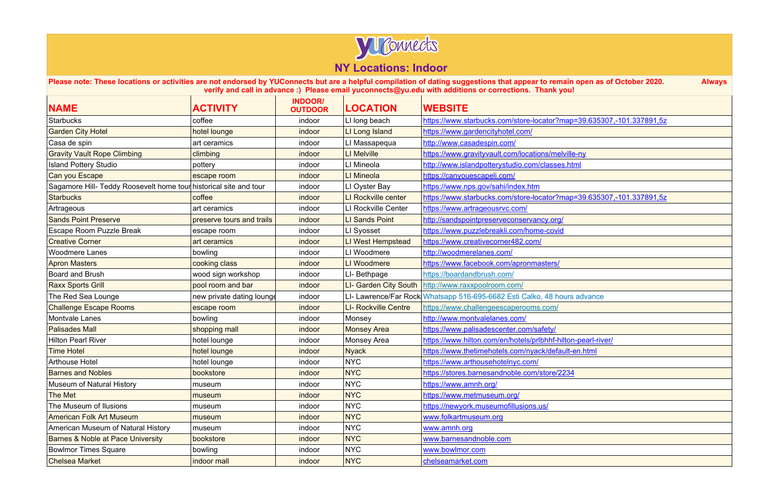

| <b>NAME</b>                                                       | <b>ACTIVITY</b>           | <b>INDOOR/</b><br><b>OUTDOOR</b> | <b>LOCATION</b>             | <b>WEBSITE</b>                                                           |
|-------------------------------------------------------------------|---------------------------|----------------------------------|-----------------------------|--------------------------------------------------------------------------|
| Starbucks                                                         | coffee                    | indoor                           | LI long beach               | https://www.starbucks.com/store-locator?map=39.635307,-101.337891,5z     |
| <b>Garden City Hotel</b>                                          | hotel lounge              | indoor                           | LI Long Island              | https://www.gardencityhotel.com/                                         |
| Casa de spin                                                      | art ceramics              | indoor                           | LI Massapequa               | http://www.casadespin.com/                                               |
| <b>Gravity Vault Rope Climbing</b>                                | climbing                  | indoor                           | <b>LI Melville</b>          | https://www.gravityvault.com/locations/melville-ny                       |
| <b>Island Pottery Studio</b>                                      | pottery                   | indoor                           | LI Mineola                  | http://www.islandpotterystudio.com/classes.html                          |
| Can you Escape                                                    | escape room               | indoor                           | LI Mineola                  | https://canyouescapeli.com/                                              |
| Sagamore Hill- Teddy Roosevelt home tour historical site and tour |                           | indoor                           | LI Oyster Bay               | https://www.nps.gov/sahi/index.htm                                       |
| <b>Starbucks</b>                                                  | coffee                    | indoor                           | LI Rockville center         | https://www.starbucks.com/store-locator?map=39.635307,-101.337891,5z     |
| Artrageous                                                        | art ceramics              | indoor                           | LI Rockville Center         | https://www.artrageousrvc.com/                                           |
| <b>Sands Point Preserve</b>                                       | preserve tours and trails | indoor                           | <b>LI Sands Point</b>       | http://sandspointpreserveconservancy.org/                                |
| <b>Escape Room Puzzle Break</b>                                   | escape room               | indoor                           | LI Syosset                  | https://www.puzzlebreakli.com/home-covid                                 |
| <b>Creative Corner</b>                                            | art ceramics              | indoor                           | <b>LI West Hempstead</b>    | https://www.creativecorner482.com/                                       |
| <b>Woodmere Lanes</b>                                             | bowling                   | indoor                           | LI Woodmere                 | http://woodmerelanes.com/                                                |
| <b>Apron Masters</b>                                              | cooking class             | indoor                           | LI Woodmere                 | https://www.facebook.com/apronmasters/                                   |
| <b>Board and Brush</b>                                            | wood sign workshop        | indoor                           | LI-Bethpage                 | https://boardandbrush.com/                                               |
| <b>Raxx Sports Grill</b>                                          | pool room and bar         | indoor                           | LI- Garden City South       | http://www.raxxpoolroom.com/                                             |
| The Red Sea Lounge                                                | new private dating lounge | indoor                           |                             | LI- Lawrence/Far Rock Whatsapp 516-695-6682 Esti Calko, 48 hours advance |
| <b>Challenge Escape Rooms</b>                                     | escape room               | indoor                           | <b>LI- Rockville Centre</b> | https://www.challengeescaperooms.com/                                    |
| <b>Montvale Lanes</b>                                             | bowling                   | indoor                           | Monsey                      | http://www.montvalelanes.com/                                            |
| <b>Palisades Mall</b>                                             | shopping mall             | indoor                           | <b>Monsey Area</b>          | https://www.palisadescenter.com/safety/                                  |
| <b>Hilton Pearl River</b>                                         | hotel lounge              | indoor                           | Monsey Area                 | https://www.hilton.com/en/hotels/prlbhhf-hilton-pearl-river/             |
| <b>Time Hotel</b>                                                 | hotel lounge              | indoor                           | <b>Nyack</b>                | https://www.thetimehotels.com/nyack/default-en.html                      |
| <b>Arthouse Hotel</b>                                             | hotel lounge              | indoor                           | <b>NYC</b>                  | https://www.arthousehotelnyc.com/                                        |
| <b>Barnes and Nobles</b>                                          | bookstore                 | indoor                           | <b>NYC</b>                  | https://stores.barnesandnoble.com/store/2234                             |
| Museum of Natural History                                         | museum                    | indoor                           | <b>NYC</b>                  | https://www.amnh.org/                                                    |
| The Met                                                           | museum                    | indoor                           | <b>NYC</b>                  | https://www.metmuseum.org/                                               |
| The Museum of Ilusions                                            | museum                    | indoor                           | <b>NYC</b>                  | https://newyork.museumofillusions.us/                                    |
| <b>American Folk Art Museum</b>                                   | museum                    | indoor                           | <b>NYC</b>                  | www.folkartmuseum.org                                                    |
| American Museum of Natural History                                | museum                    | indoor                           | <b>NYC</b>                  | www.amnh.org                                                             |
| <b>Barnes &amp; Noble at Pace University</b>                      | bookstore                 | indoor                           | <b>NYC</b>                  | www.barnesandnoble.com                                                   |
| <b>Bowlmor Times Square</b>                                       | bowling                   | indoor                           | <b>NYC</b>                  | www.bowlmor.com                                                          |
| <b>Chelsea Market</b>                                             | indoor mall               | indoor                           | <b>NYC</b>                  | chelseamarket.com                                                        |

| open as of October 2020.         | <b>Always</b> |
|----------------------------------|---------------|
|                                  |               |
|                                  |               |
|                                  |               |
| <u>e-ny</u>                      |               |
| <u>ml</u>                        |               |
|                                  |               |
|                                  |               |
|                                  |               |
|                                  |               |
|                                  |               |
|                                  |               |
|                                  |               |
| advance                          |               |
|                                  |               |
|                                  |               |
| <u>n-pearl-river/</u><br>en.html |               |
|                                  |               |
|                                  |               |
|                                  |               |
|                                  |               |
|                                  |               |
|                                  |               |
|                                  |               |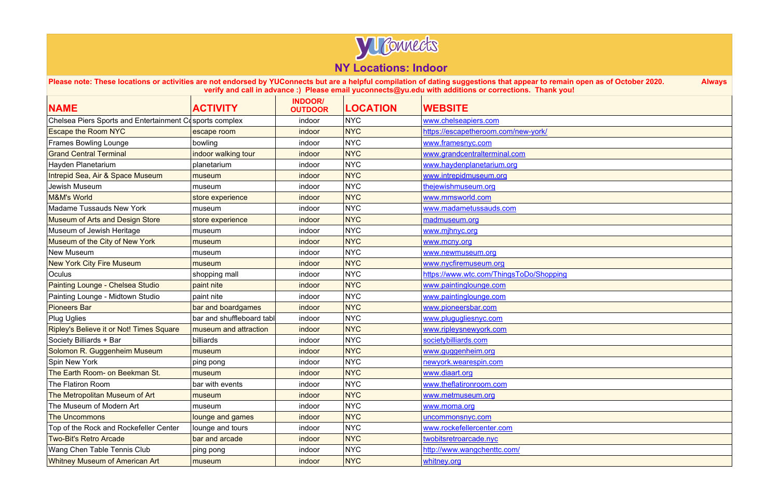

| <b>NAME</b>                                             | <b>ACTIVITY</b>           | <b>INDOOR/</b><br><b>OUTDOOR</b> | <b>LOCATION</b> | <b>WEBSITE</b>                          |
|---------------------------------------------------------|---------------------------|----------------------------------|-----------------|-----------------------------------------|
| Chelsea Piers Sports and Entertainment Cosports complex |                           | indoor                           | <b>NYC</b>      | www.chelseapiers.com                    |
| <b>Escape the Room NYC</b>                              | escape room               | indoor                           | <b>NYC</b>      | https://escapetheroom.com/new-york/     |
| <b>Frames Bowling Lounge</b>                            | bowling                   | indoor                           | <b>NYC</b>      | www.framesnyc.com                       |
| <b>Grand Central Terminal</b>                           | indoor walking tour       | indoor                           | <b>NYC</b>      | www.grandcentralterminal.com            |
| Hayden Planetarium                                      | planetarium               | indoor                           | <b>NYC</b>      | www.haydenplanetarium.org               |
| Intrepid Sea, Air & Space Museum                        | museum                    | indoor                           | <b>NYC</b>      | www.intrepidmuseum.org                  |
| Jewish Museum                                           | museum                    | indoor                           | <b>NYC</b>      | thejewishmuseum.org                     |
| <b>M&amp;M's World</b>                                  | store experience          | indoor                           | <b>NYC</b>      | www.mmsworld.com                        |
| <b>Madame Tussauds New York</b>                         | museum                    | indoor                           | <b>NYC</b>      | www.madametussauds.com                  |
| <b>Museum of Arts and Design Store</b>                  | store experience          | indoor                           | <b>NYC</b>      | madmuseum.org                           |
| Museum of Jewish Heritage                               | museum                    | indoor                           | <b>NYC</b>      | www.mjhnyc.org                          |
| Museum of the City of New York                          | museum                    | indoor                           | <b>NYC</b>      | www.mcny.org                            |
| <b>New Museum</b>                                       | museum                    | indoor                           | <b>NYC</b>      | www.newmuseum.org                       |
| <b>New York City Fire Museum</b>                        | museum                    | indoor                           | <b>NYC</b>      | www.nycfiremuseum.org                   |
| Oculus                                                  | shopping mall             | indoor                           | <b>NYC</b>      | https://www.wtc.com/ThingsToDo/Shopping |
| Painting Lounge - Chelsea Studio                        | paint nite                | indoor                           | <b>NYC</b>      | www.paintinglounge.com                  |
| Painting Lounge - Midtown Studio                        | paint nite                | indoor                           | <b>NYC</b>      | www.paintinglounge.com                  |
| <b>Pioneers Bar</b>                                     | bar and boardgames        | indoor                           | <b>NYC</b>      | www.pioneersbar.com                     |
| <b>Plug Uglies</b>                                      | bar and shuffleboard tabl | indoor                           | <b>NYC</b>      | www.plugugliesnyc.com                   |
| Ripley's Believe it or Not! Times Square                | museum and attraction     | indoor                           | <b>NYC</b>      | www.ripleysnewyork.com                  |
| Society Billiards + Bar                                 | billiards                 | indoor                           | <b>NYC</b>      | societybilliards.com                    |
| Solomon R. Guggenheim Museum                            | museum                    | indoor                           | <b>NYC</b>      | www.guggenheim.org                      |
| Spin New York                                           | ping pong                 | indoor                           | <b>NYC</b>      | newyork.wearespin.com                   |
| The Earth Room- on Beekman St.                          | museum                    | indoor                           | <b>NYC</b>      | www.diaart.org                          |
| The Flatiron Room                                       | bar with events           | indoor                           | <b>NYC</b>      | www.theflatironroom.com                 |
| The Metropolitan Museum of Art                          | museum                    | indoor                           | <b>NYC</b>      | www.metmuseum.org                       |
| The Museum of Modern Art                                | museum                    | indoor                           | <b>NYC</b>      | www.moma.org                            |
| <b>The Uncommons</b>                                    | lounge and games          | indoor                           | <b>NYC</b>      | uncommonsnyc.com                        |
| Top of the Rock and Rockefeller Center                  | lounge and tours          | indoor                           | <b>NYC</b>      | www.rockefellercenter.com               |
| <b>Two-Bit's Retro Arcade</b>                           | bar and arcade            | indoor                           | <b>NYC</b>      | twobitsretroarcade.nyc                  |
| Wang Chen Table Tennis Club                             | ping pong                 | indoor                           | <b>NYC</b>      | http://www.wangchenttc.com/             |
| <b>Whitney Museum of American Art</b>                   | museum                    | indoor                           | <b>NYC</b>      | whitney.org                             |

| open as of October 2020.<br>! | <b>Always</b> |
|-------------------------------|---------------|
|                               |               |
|                               |               |
|                               |               |
|                               |               |
|                               |               |
|                               |               |
|                               |               |
|                               |               |
|                               |               |
|                               |               |
|                               |               |
|                               |               |
|                               |               |
|                               |               |
|                               |               |
|                               |               |
|                               |               |
|                               |               |
|                               |               |
|                               |               |